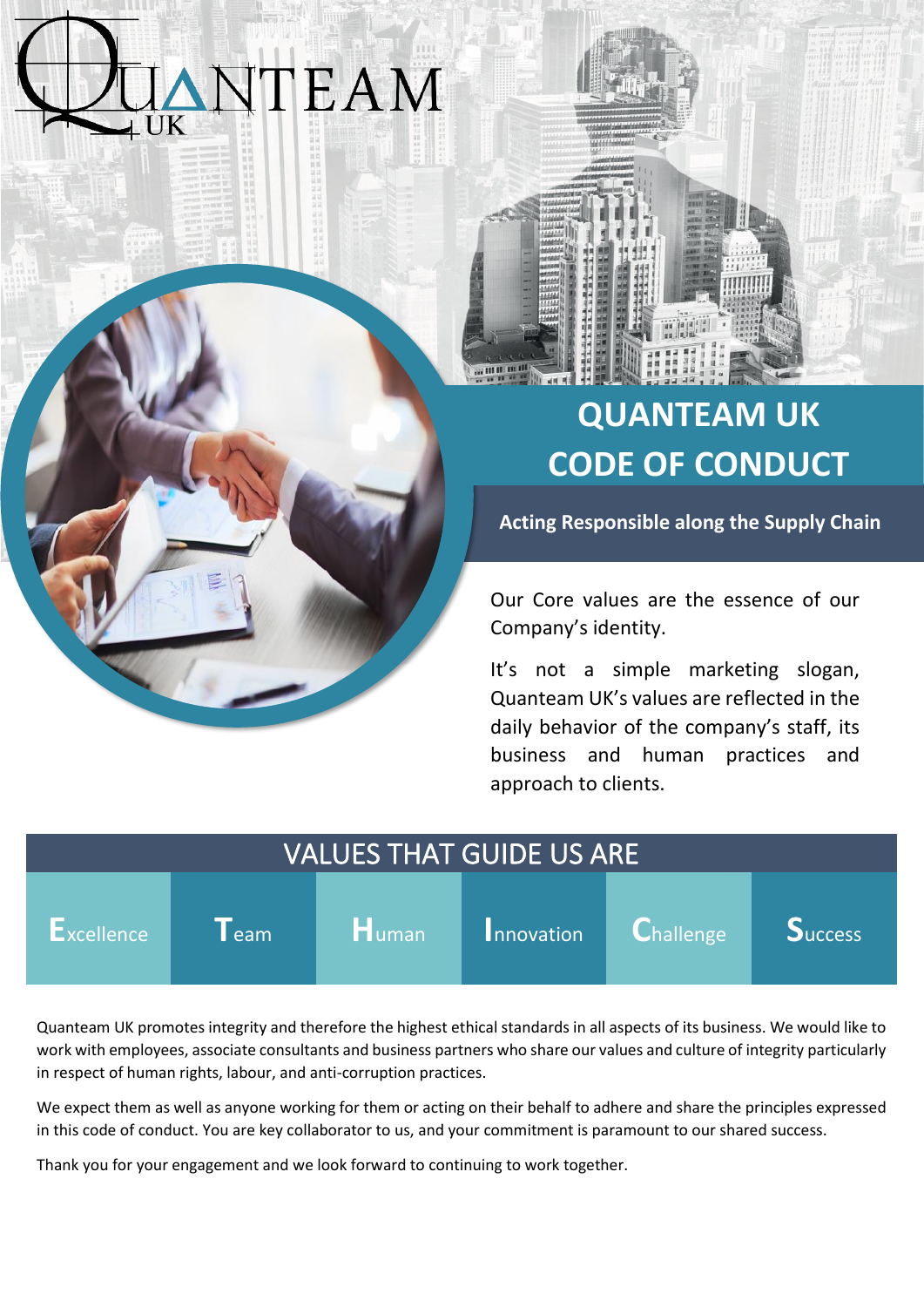# **TEAM**



# **QUANTEAM UK CODE OF CONDUCT**

**Acting Responsible along the Supply Chain**

Our Core values are the essence of our Company's identity.

It's not a simple marketing slogan, Quanteam UK's values are reflected in the daily behavior of the company's staff, its business and human practices and approach to clients.

| <b>VALUES THAT GUIDE US ARE</b> |                    |          |            |                                     |                |
|---------------------------------|--------------------|----------|------------|-------------------------------------|----------------|
| Excellence                      | $\blacksquare$ eam | $H$ uman | Innovation | $ {\mathbf C}_{\mathsf{hallenge} }$ | <b>Success</b> |

Quanteam UK promotes integrity and therefore the highest ethical standards in all aspects of its business. We would like to work with employees, associate consultants and business partners who share our values and culture of integrity particularly in respect of human rights, labour, and anti-corruption practices.

We expect them as well as anyone working for them or acting on their behalf to adhere and share the principles expressed in this code of conduct. You are key collaborator to us, and your commitment is paramount to our shared success.

Thank you for your engagement and we look forward to continuing to work together.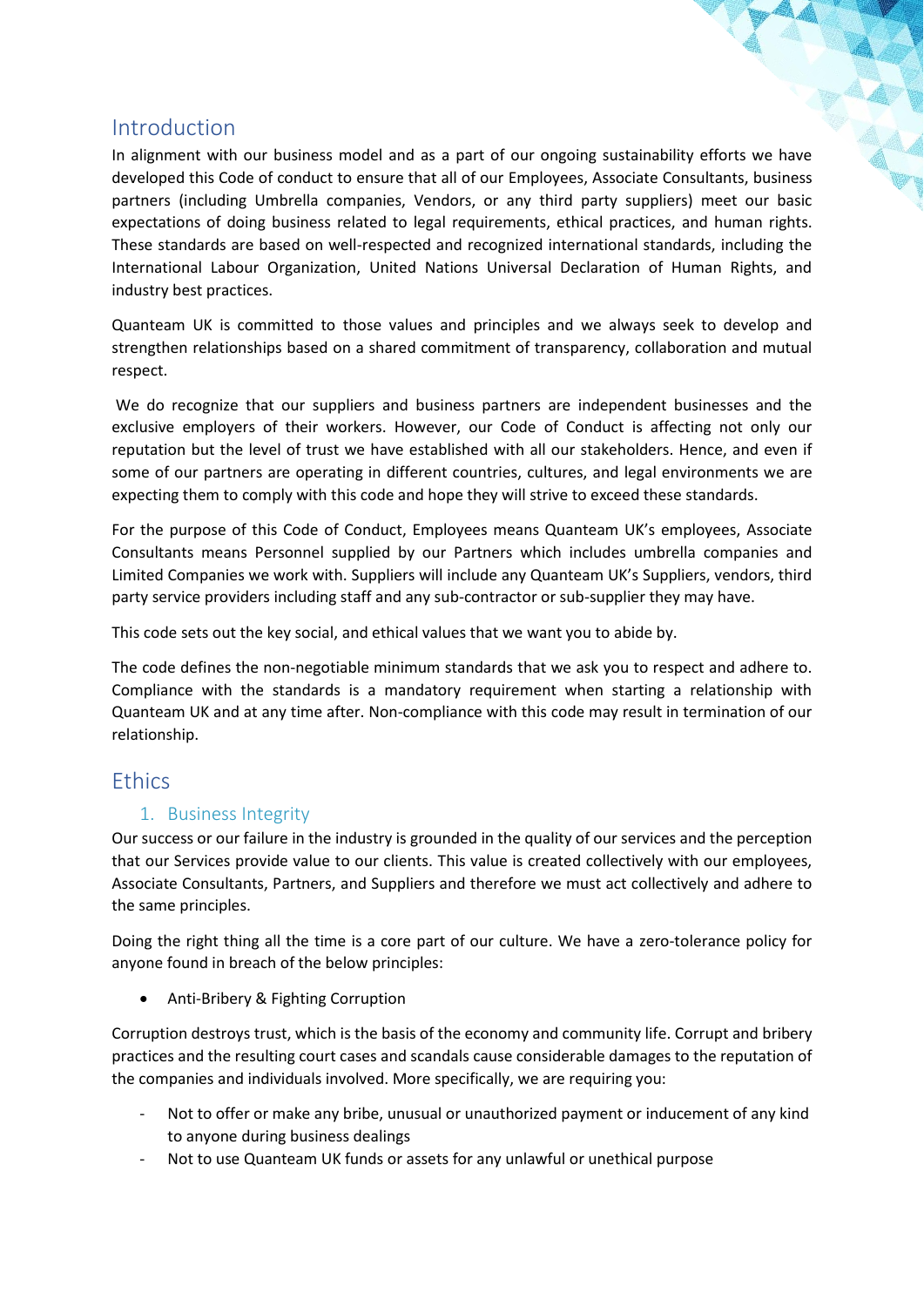## Introduction

In alignment with our business model and as a part of our ongoing sustainability efforts we have developed this Code of conduct to ensure that all of our Employees, Associate Consultants, business partners (including Umbrella companies, Vendors, or any third party suppliers) meet our basic expectations of doing business related to legal requirements, ethical practices, and human rights. These standards are based on well-respected and recognized international standards, including the International Labour Organization, United Nations Universal Declaration of Human Rights, and industry best practices.

Quanteam UK is committed to those values and principles and we always seek to develop and strengthen relationships based on a shared commitment of transparency, collaboration and mutual respect.

We do recognize that our suppliers and business partners are independent businesses and the exclusive employers of their workers. However, our Code of Conduct is affecting not only our reputation but the level of trust we have established with all our stakeholders. Hence, and even if some of our partners are operating in different countries, cultures, and legal environments we are expecting them to comply with this code and hope they will strive to exceed these standards.

For the purpose of this Code of Conduct, Employees means Quanteam UK's employees, Associate Consultants means Personnel supplied by our Partners which includes umbrella companies and Limited Companies we work with. Suppliers will include any Quanteam UK's Suppliers, vendors, third party service providers including staff and any sub-contractor or sub-supplier they may have.

This code sets out the key social, and ethical values that we want you to abide by.

The code defines the non-negotiable minimum standards that we ask you to respect and adhere to. Compliance with the standards is a mandatory requirement when starting a relationship with Quanteam UK and at any time after. Non-compliance with this code may result in termination of our relationship.

### **Ethics**

#### 1. Business Integrity

Our success or our failure in the industry is grounded in the quality of our services and the perception that our Services provide value to our clients. This value is created collectively with our employees, Associate Consultants, Partners, and Suppliers and therefore we must act collectively and adhere to the same principles.

Doing the right thing all the time is a core part of our culture. We have a zero-tolerance policy for anyone found in breach of the below principles:

• Anti-Bribery & Fighting Corruption

Corruption destroys trust, which is the basis of the economy and community life. Corrupt and bribery practices and the resulting court cases and scandals cause considerable damages to the reputation of the companies and individuals involved. More specifically, we are requiring you:

- Not to offer or make any bribe, unusual or unauthorized payment or inducement of any kind to anyone during business dealings
- Not to use Quanteam UK funds or assets for any unlawful or unethical purpose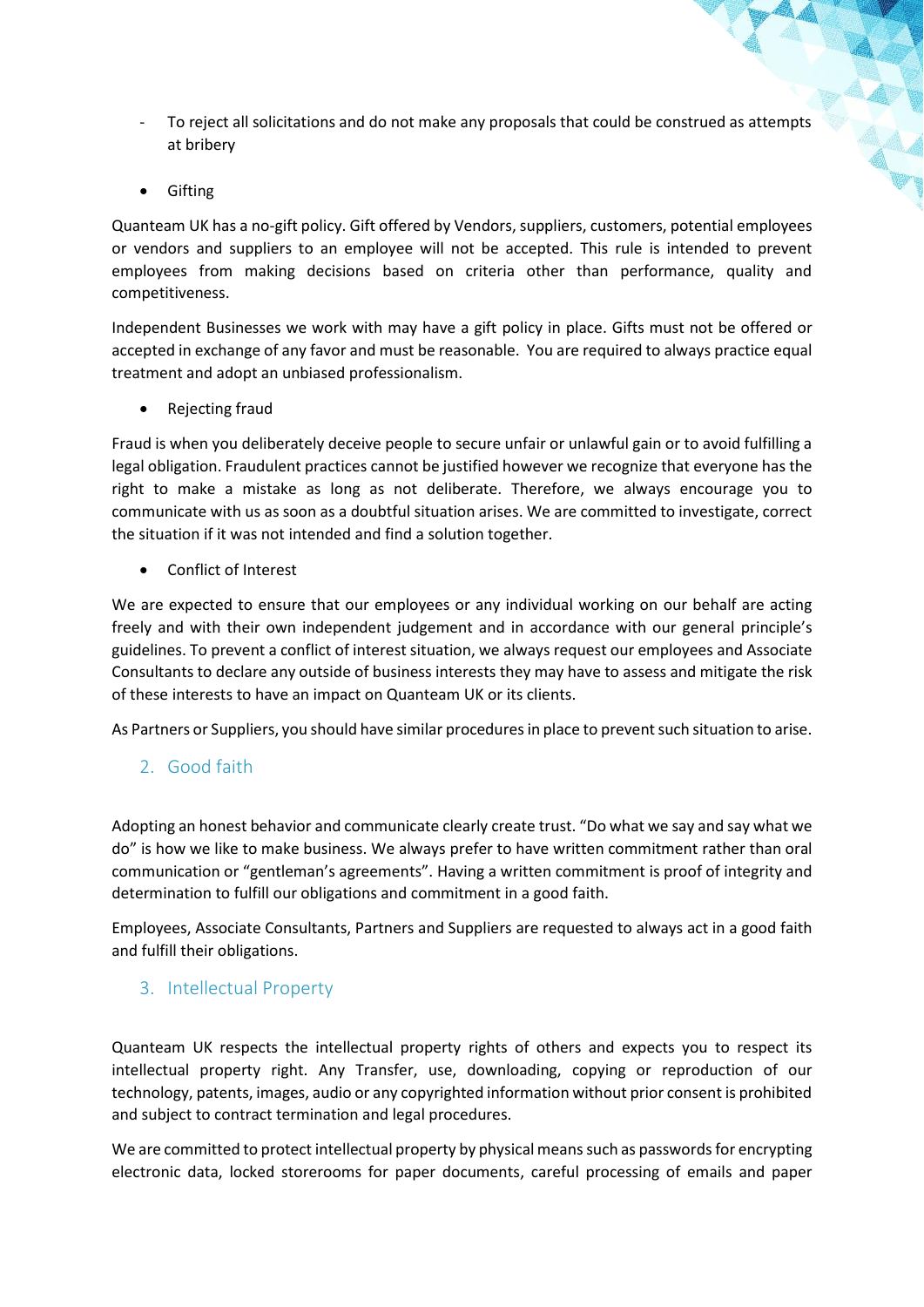- To reject all solicitations and do not make any proposals that could be construed as attempts at bribery
- Gifting

Quanteam UK has a no-gift policy. Gift offered by Vendors, suppliers, customers, potential employees or vendors and suppliers to an employee will not be accepted. This rule is intended to prevent employees from making decisions based on criteria other than performance, quality and competitiveness.

Independent Businesses we work with may have a gift policy in place. Gifts must not be offered or accepted in exchange of any favor and must be reasonable. You are required to always practice equal treatment and adopt an unbiased professionalism.

• Rejecting fraud

Fraud is when you deliberately deceive people to secure unfair or unlawful gain or to avoid fulfilling a legal obligation. Fraudulent practices cannot be justified however we recognize that everyone has the right to make a mistake as long as not deliberate. Therefore, we always encourage you to communicate with us as soon as a doubtful situation arises. We are committed to investigate, correct the situation if it was not intended and find a solution together.

• Conflict of Interest

We are expected to ensure that our employees or any individual working on our behalf are acting freely and with their own independent judgement and in accordance with our general principle's guidelines. To prevent a conflict of interest situation, we always request our employees and Associate Consultants to declare any outside of business interests they may have to assess and mitigate the risk of these interests to have an impact on Quanteam UK or its clients.

As Partners or Suppliers, you should have similar procedures in place to prevent such situation to arise.

2. Good faith

Adopting an honest behavior and communicate clearly create trust. "Do what we say and say what we do" is how we like to make business. We always prefer to have written commitment rather than oral communication or "gentleman's agreements". Having a written commitment is proof of integrity and determination to fulfill our obligations and commitment in a good faith.

Employees, Associate Consultants, Partners and Suppliers are requested to always act in a good faith and fulfill their obligations.

#### 3. Intellectual Property

Quanteam UK respects the intellectual property rights of others and expects you to respect its intellectual property right. Any Transfer, use, downloading, copying or reproduction of our technology, patents, images, audio or any copyrighted information without prior consent is prohibited and subject to contract termination and legal procedures.

We are committed to protect intellectual property by physical means such as passwords for encrypting electronic data, locked storerooms for paper documents, careful processing of emails and paper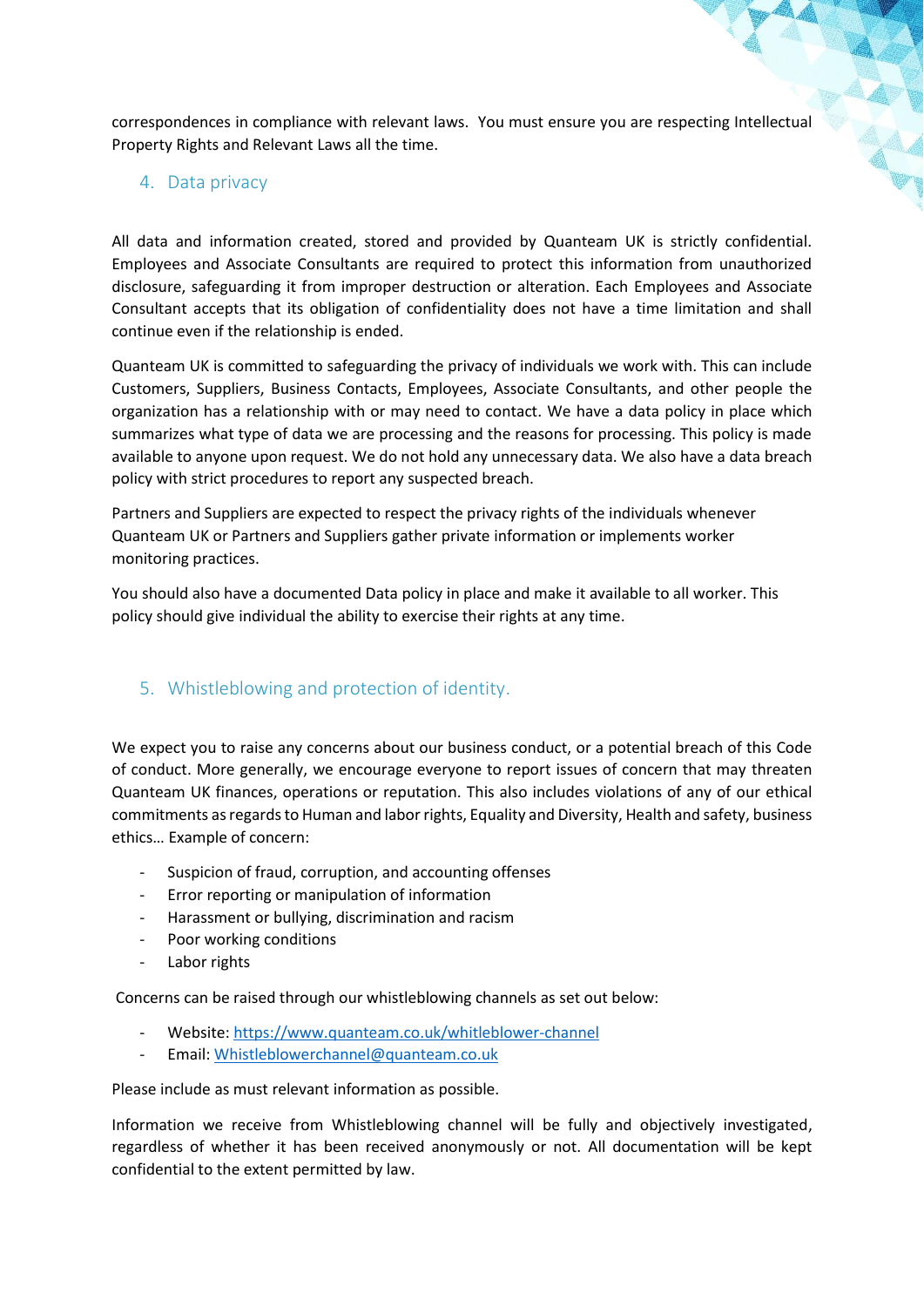correspondences in compliance with relevant laws. You must ensure you are respecting Intellectual Property Rights and Relevant Laws all the time.

#### 4. Data privacy

All data and information created, stored and provided by Quanteam UK is strictly confidential. Employees and Associate Consultants are required to protect this information from unauthorized disclosure, safeguarding it from improper destruction or alteration. Each Employees and Associate Consultant accepts that its obligation of confidentiality does not have a time limitation and shall continue even if the relationship is ended.

Quanteam UK is committed to safeguarding the privacy of individuals we work with. This can include Customers, Suppliers, Business Contacts, Employees, Associate Consultants, and other people the organization has a relationship with or may need to contact. We have a data policy in place which summarizes what type of data we are processing and the reasons for processing. This policy is made available to anyone upon request. We do not hold any unnecessary data. We also have a data breach policy with strict procedures to report any suspected breach.

Partners and Suppliers are expected to respect the privacy rights of the individuals whenever Quanteam UK or Partners and Suppliers gather private information or implements worker monitoring practices.

You should also have a documented Data policy in place and make it available to all worker. This policy should give individual the ability to exercise their rights at any time.

#### 5. Whistleblowing and protection of identity.

We expect you to raise any concerns about our business conduct, or a potential breach of this Code of conduct. More generally, we encourage everyone to report issues of concern that may threaten Quanteam UK finances, operations or reputation. This also includes violations of any of our ethical commitments as regards to Human and labor rights, Equality and Diversity, Health and safety, business ethics… Example of concern:

- Suspicion of fraud, corruption, and accounting offenses
- Error reporting or manipulation of information
- Harassment or bullying, discrimination and racism
- Poor working conditions
- Labor rights

Concerns can be raised through our whistleblowing channels as set out below:

- Website[: https://www.quanteam.co.uk/whitleblower-channel](https://www.quanteam.co.uk/whitleblower-channel)
- Email: [Whistleblowerchannel@quanteam.co.uk](mailto:Whistleblowerchannel@quanteam.co.uk)

Please include as must relevant information as possible.

Information we receive from Whistleblowing channel will be fully and objectively investigated, regardless of whether it has been received anonymously or not. All documentation will be kept confidential to the extent permitted by law.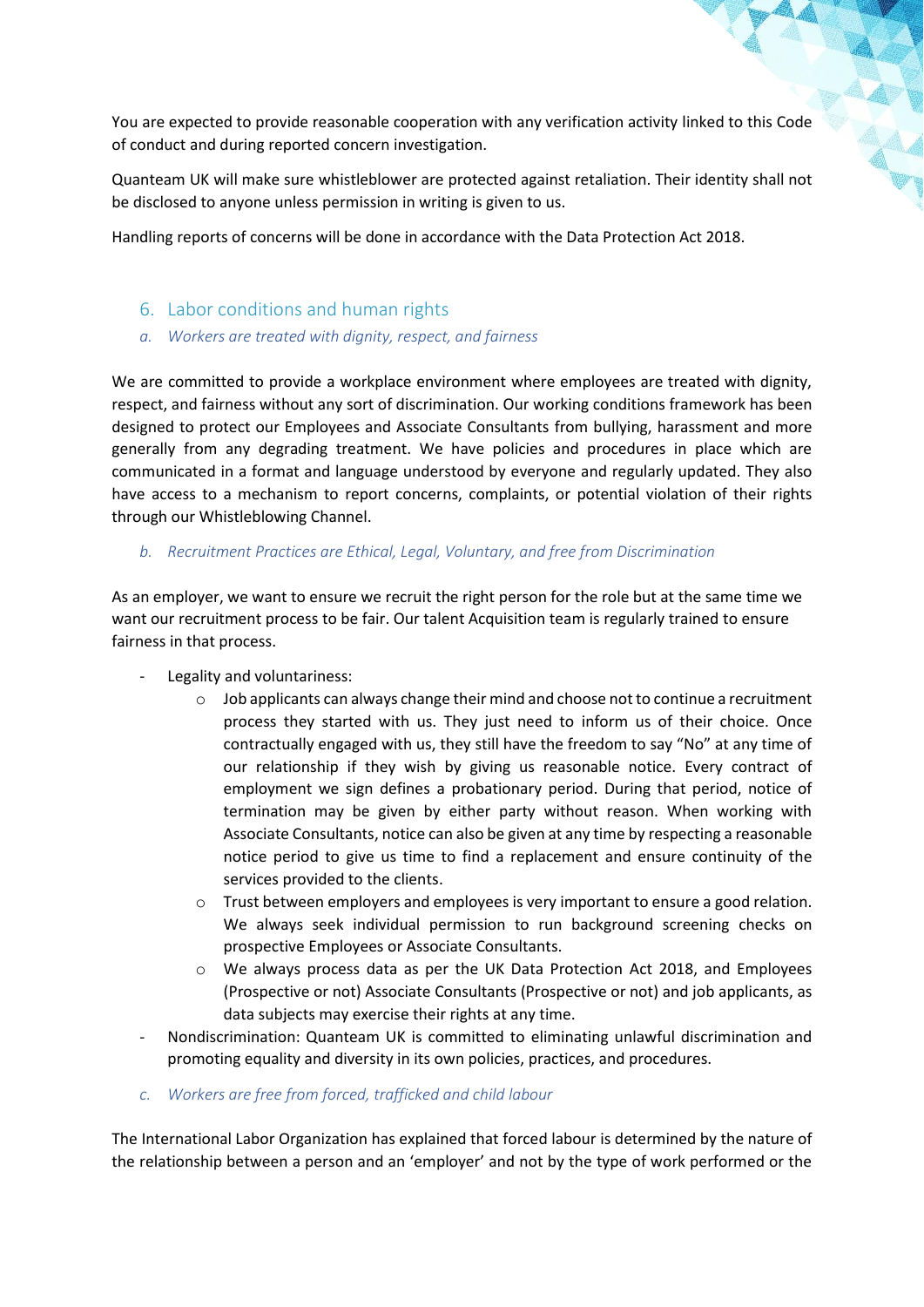You are expected to provide reasonable cooperation with any verification activity linked to this Code of conduct and during reported concern investigation.

Quanteam UK will make sure whistleblower are protected against retaliation. Their identity shall not be disclosed to anyone unless permission in writing is given to us.

Handling reports of concerns will be done in accordance with the Data Protection Act 2018.

#### 6. Labor conditions and human rights

*a. Workers are treated with dignity, respect, and fairness*

We are committed to provide a workplace environment where employees are treated with dignity, respect, and fairness without any sort of discrimination. Our working conditions framework has been designed to protect our Employees and Associate Consultants from bullying, harassment and more generally from any degrading treatment. We have policies and procedures in place which are communicated in a format and language understood by everyone and regularly updated. They also have access to a mechanism to report concerns, complaints, or potential violation of their rights through our Whistleblowing Channel.

#### *b. Recruitment Practices are Ethical, Legal, Voluntary, and free from Discrimination*

As an employer, we want to ensure we recruit the right person for the role but at the same time we want our recruitment process to be fair. Our talent Acquisition team is regularly trained to ensure fairness in that process.

- Legality and voluntariness:
	- $\circ$  Job applicants can always change their mind and choose not to continue a recruitment process they started with us. They just need to inform us of their choice. Once contractually engaged with us, they still have the freedom to say "No" at any time of our relationship if they wish by giving us reasonable notice. Every contract of employment we sign defines a probationary period. During that period, notice of termination may be given by either party without reason. When working with Associate Consultants, notice can also be given at any time by respecting a reasonable notice period to give us time to find a replacement and ensure continuity of the services provided to the clients.
	- $\circ$  Trust between employers and employees is very important to ensure a good relation. We always seek individual permission to run background screening checks on prospective Employees or Associate Consultants.
	- o We always process data as per the UK Data Protection Act 2018, and Employees (Prospective or not) Associate Consultants (Prospective or not) and job applicants, as data subjects may exercise their rights at any time.
- Nondiscrimination: Quanteam UK is committed to eliminating unlawful discrimination and promoting equality and diversity in its own policies, practices, and procedures.
- *c. Workers are free from forced, trafficked and child labour*

The International Labor Organization has explained that forced labour is determined by the nature of the relationship between a person and an 'employer' and not by the type of work performed or the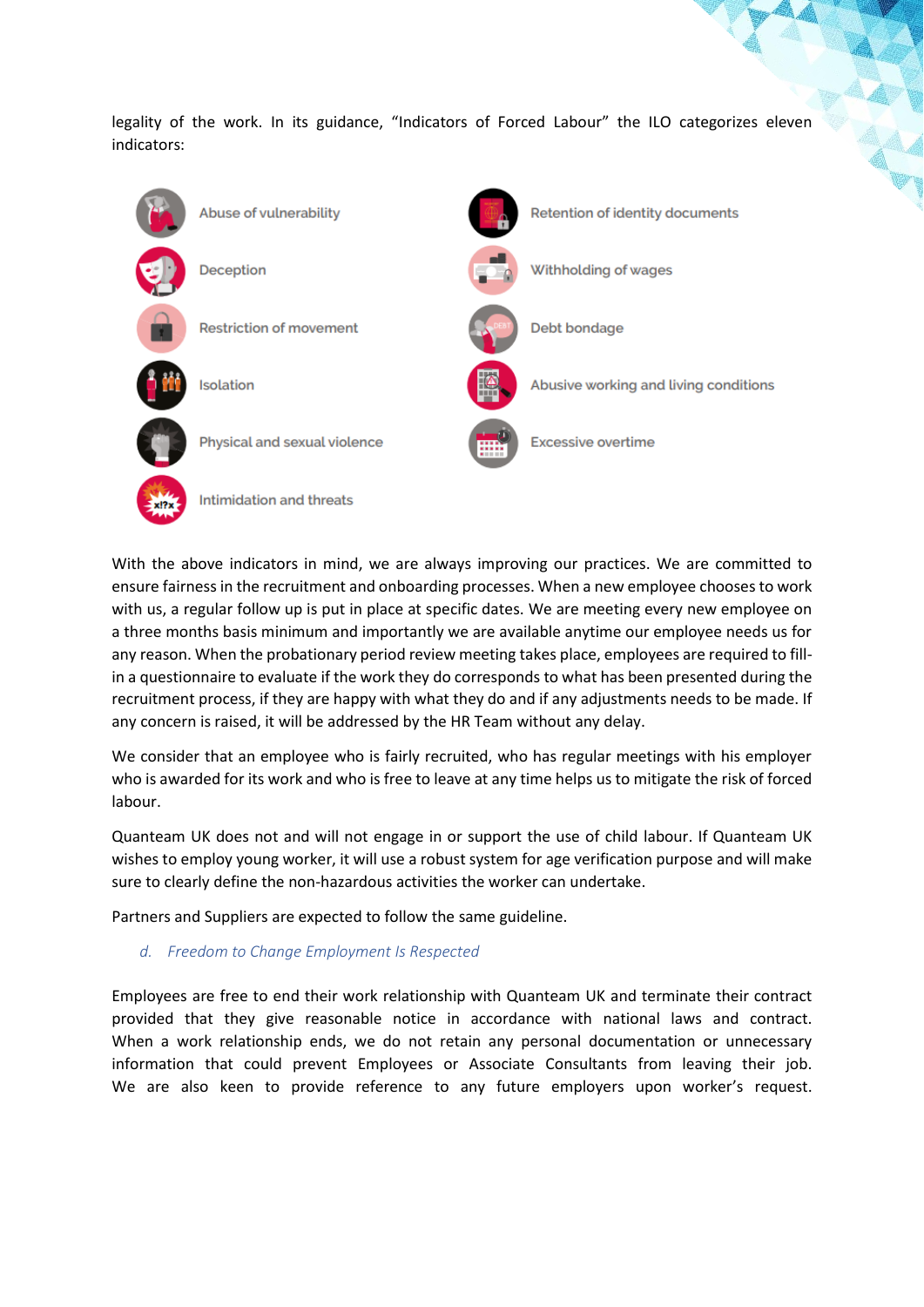legality of the work. In its guidance, "Indicators of Forced Labour" the ILO categorizes eleven indicators:



With the above indicators in mind, we are always improving our practices. We are committed to ensure fairness in the recruitment and onboarding processes. When a new employee chooses to work with us, a regular follow up is put in place at specific dates. We are meeting every new employee on a three months basis minimum and importantly we are available anytime our employee needs us for any reason. When the probationary period review meeting takes place, employees are required to fillin a questionnaire to evaluate if the work they do corresponds to what has been presented during the recruitment process, if they are happy with what they do and if any adjustments needs to be made. If any concern is raised, it will be addressed by the HR Team without any delay.

We consider that an employee who is fairly recruited, who has regular meetings with his employer who is awarded for its work and who is free to leave at any time helps us to mitigate the risk of forced labour.

Quanteam UK does not and will not engage in or support the use of child labour. If Quanteam UK wishes to employ young worker, it will use a robust system for age verification purpose and will make sure to clearly define the non-hazardous activities the worker can undertake.

Partners and Suppliers are expected to follow the same guideline.

*d. Freedom to Change Employment Is Respected*

Employees are free to end their work relationship with Quanteam UK and terminate their contract provided that they give reasonable notice in accordance with national laws and contract. When a work relationship ends, we do not retain any personal documentation or unnecessary information that could prevent Employees or Associate Consultants from leaving their job. We are also keen to provide reference to any future employers upon worker's request.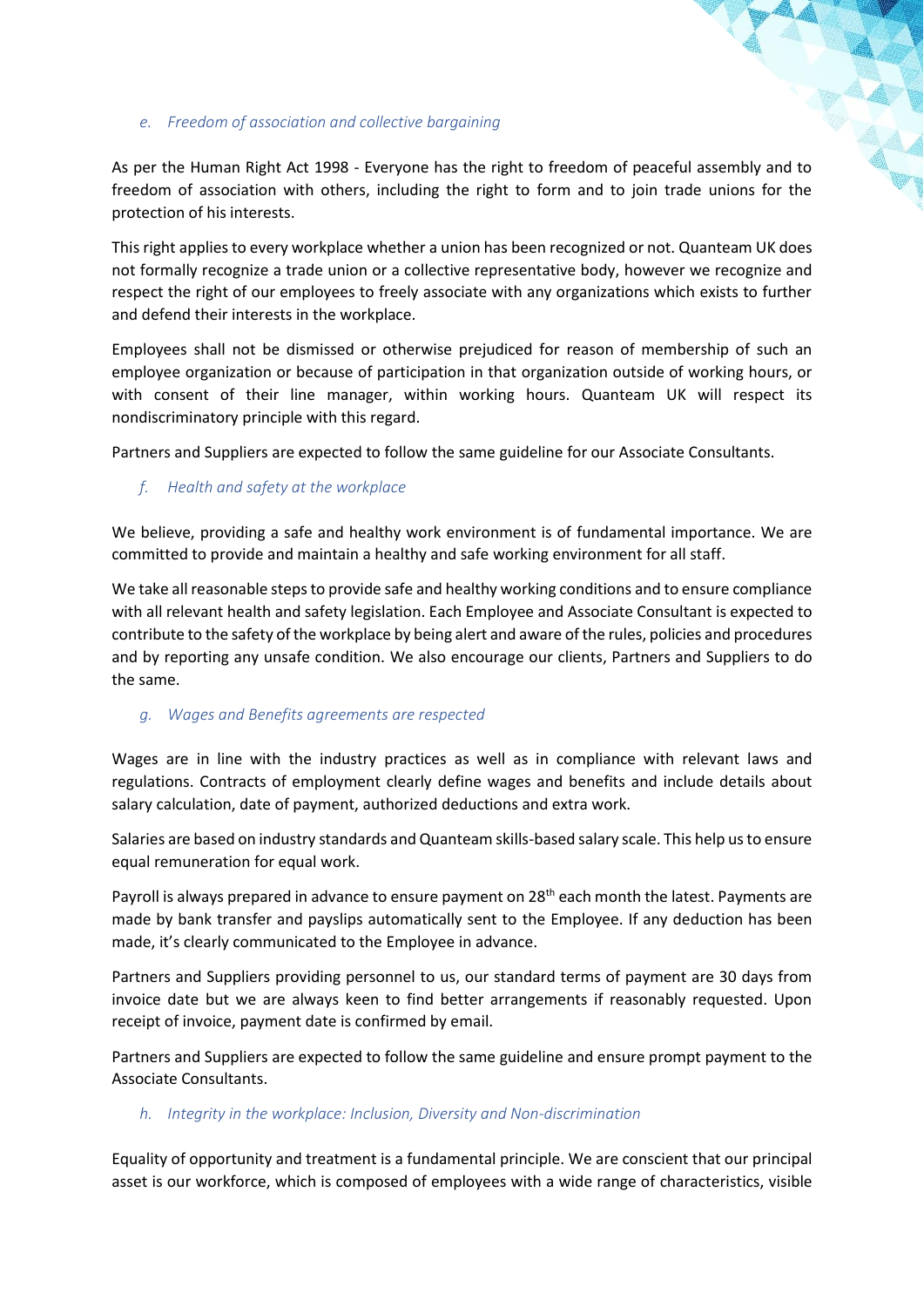#### *e. Freedom of association and collective bargaining*

As per the Human Right Act 1998 - Everyone has the right to freedom of peaceful assembly and to freedom of association with others, including the right to form and to join trade unions for the protection of his interests.

This right applies to every workplace whether a union has been recognized or not. Quanteam UK does not formally recognize a trade union or a collective representative body, however we recognize and respect the right of our employees to freely associate with any organizations which exists to further and defend their interests in the workplace.

Employees shall not be dismissed or otherwise prejudiced for reason of membership of such an employee organization or because of participation in that organization outside of working hours, or with consent of their line manager, within working hours. Quanteam UK will respect its nondiscriminatory principle with this regard.

Partners and Suppliers are expected to follow the same guideline for our Associate Consultants.

*f. Health and safety at the workplace*

We believe, providing a safe and healthy work environment is of fundamental importance. We are committed to provide and maintain a healthy and safe working environment for all staff.

We take all reasonable steps to provide safe and healthy working conditions and to ensure compliance with all relevant health and safety legislation. Each Employee and Associate Consultant is expected to contribute to the safety of the workplace by being alert and aware of the rules, policies and procedures and by reporting any unsafe condition. We also encourage our clients, Partners and Suppliers to do the same.

#### *g. Wages and Benefits agreements are respected*

Wages are in line with the industry practices as well as in compliance with relevant laws and regulations. Contracts of employment clearly define wages and benefits and include details about salary calculation, date of payment, authorized deductions and extra work.

Salaries are based on industry standards and Quanteam skills-based salary scale. This help us to ensure equal remuneration for equal work.

Payroll is always prepared in advance to ensure payment on 28<sup>th</sup> each month the latest. Payments are made by bank transfer and payslips automatically sent to the Employee. If any deduction has been made, it's clearly communicated to the Employee in advance.

Partners and Suppliers providing personnel to us, our standard terms of payment are 30 days from invoice date but we are always keen to find better arrangements if reasonably requested. Upon receipt of invoice, payment date is confirmed by email.

Partners and Suppliers are expected to follow the same guideline and ensure prompt payment to the Associate Consultants.

#### *h. Integrity in the workplace: Inclusion, Diversity and Non-discrimination*

Equality of opportunity and treatment is a fundamental principle. We are conscient that our principal asset is our workforce, which is composed of employees with a wide range of characteristics, visible